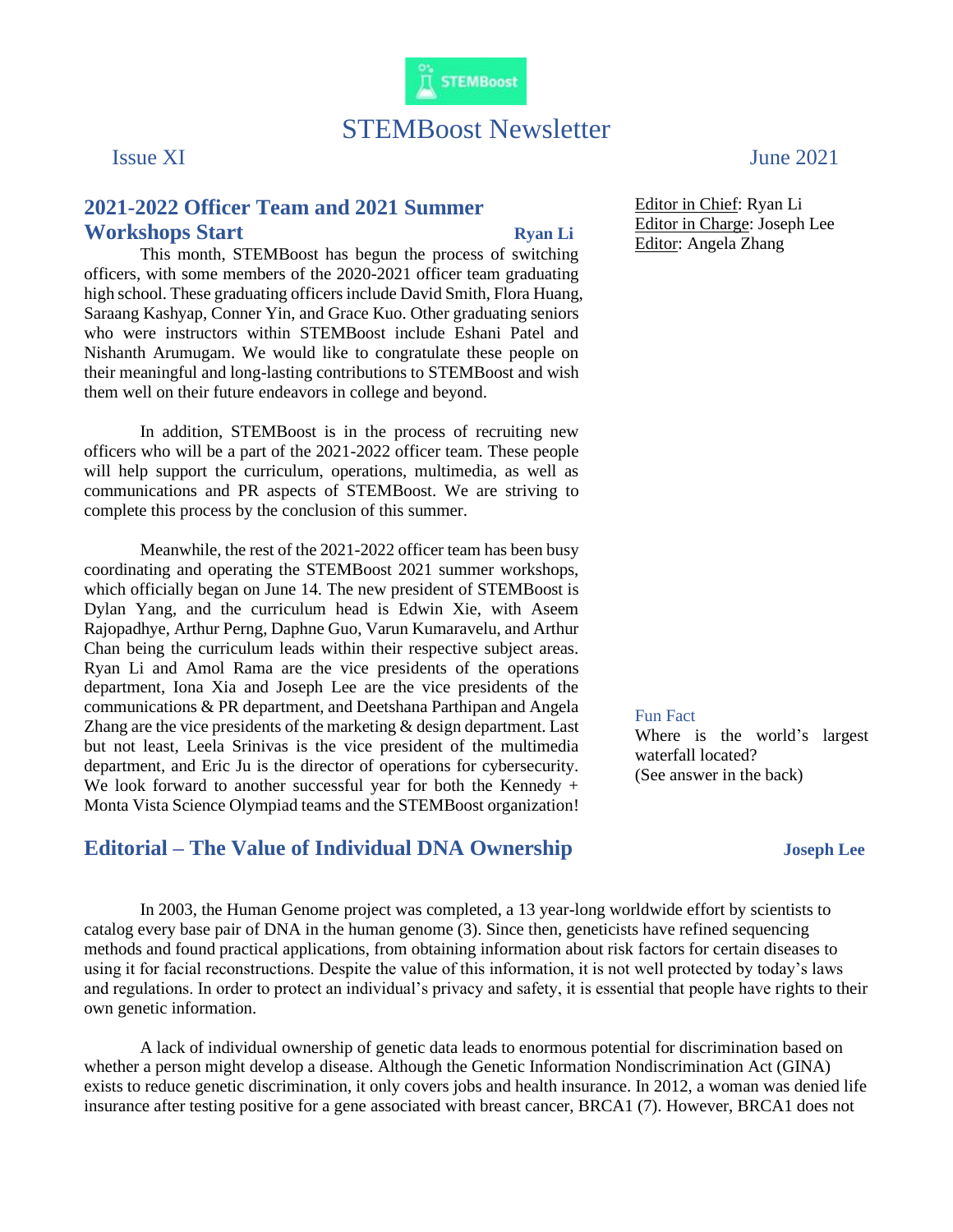

## STEMBoost Newsletter

## **2021-2022 Officer Team and 2021 Summer Workshops Start Ryan Li**

This month, STEMBoost has begun the process of switching officers, with some members of the 2020-2021 officer team graduating high school. These graduating officers include David Smith, Flora Huang, Saraang Kashyap, Conner Yin, and Grace Kuo. Other graduating seniors who were instructors within STEMBoost include Eshani Patel and Nishanth Arumugam. We would like to congratulate these people on their meaningful and long-lasting contributions to STEMBoost and wish them well on their future endeavors in college and beyond.

In addition, STEMBoost is in the process of recruiting new officers who will be a part of the 2021-2022 officer team. These people will help support the curriculum, operations, multimedia, as well as communications and PR aspects of STEMBoost. We are striving to complete this process by the conclusion of this summer.

Meanwhile, the rest of the 2021-2022 officer team has been busy coordinating and operating the STEMBoost 2021 summer workshops, which officially began on June 14. The new president of STEMBoost is Dylan Yang, and the curriculum head is Edwin Xie, with Aseem Rajopadhye, Arthur Perng, Daphne Guo, Varun Kumaravelu, and Arthur Chan being the curriculum leads within their respective subject areas. Ryan Li and Amol Rama are the vice presidents of the operations department, Iona Xia and Joseph Lee are the vice presidents of the communications & PR department, and Deetshana Parthipan and Angela Zhang are the vice presidents of the marketing & design department. Last but not least, Leela Srinivas is the vice president of the multimedia department, and Eric Ju is the director of operations for cybersecurity. We look forward to another successful year for both the Kennedy + Monta Vista Science Olympiad teams and the STEMBoost organization!

## **Editorial – The Value of Individual DNA Ownership Joseph Lee**

Fun Fact

Where is the world's largest waterfall located? (See answer in the back)

In 2003, the Human Genome project was completed, a 13 year-long worldwide effort by scientists to catalog every base pair of DNA in the human genome (3). Since then, geneticists have refined sequencing methods and found practical applications, from obtaining information about risk factors for certain diseases to using it for facial reconstructions. Despite the value of this information, it is not well protected by today's laws and regulations. In order to protect an individual's privacy and safety, it is essential that people have rights to their own genetic information.

A lack of individual ownership of genetic data leads to enormous potential for discrimination based on whether a person might develop a disease. Although the Genetic Information Nondiscrimination Act (GINA) exists to reduce genetic discrimination, it only covers jobs and health insurance. In 2012, a woman was denied life insurance after testing positive for a gene associated with breast cancer, BRCA1 (7). However, BRCA1 does not

Issue XI June 2021

Editor in Chief: Ryan Li Editor in Charge: Joseph Lee Editor: Angela Zhang